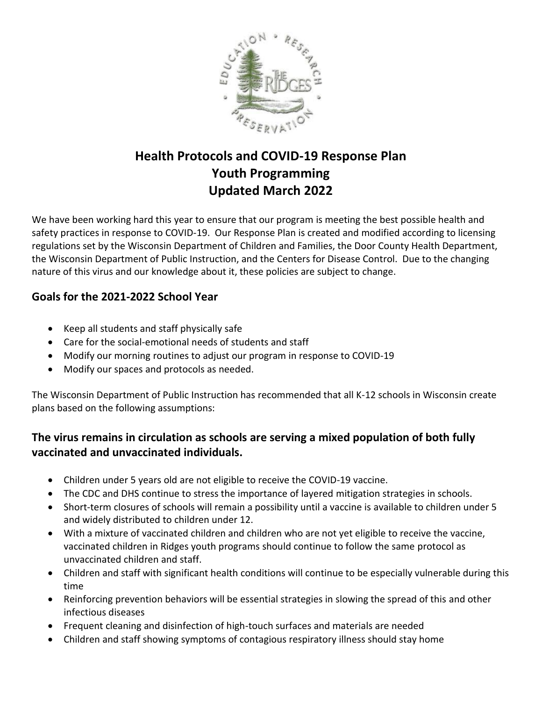

## **Health Protocols and COVID-19 Response Plan Youth Programming Updated March 2022**

We have been working hard this year to ensure that our program is meeting the best possible health and safety practices in response to COVID-19. Our Response Plan is created and modified according to licensing regulations set by the Wisconsin Department of Children and Families, the Door County Health Department, the Wisconsin Department of Public Instruction, and the Centers for Disease Control. Due to the changing nature of this virus and our knowledge about it, these policies are subject to change.

### **Goals for the 2021-2022 School Year**

- Keep all students and staff physically safe
- Care for the social-emotional needs of students and staff
- Modify our morning routines to adjust our program in response to COVID-19
- Modify our spaces and protocols as needed.

The Wisconsin Department of Public Instruction has recommended that all K-12 schools in Wisconsin create plans based on the following assumptions:

### **The virus remains in circulation as schools are serving a mixed population of both fully vaccinated and unvaccinated individuals.**

- Children under 5 years old are not eligible to receive the COVID-19 vaccine.
- The CDC and DHS continue to stress the importance of layered mitigation strategies in schools.
- Short-term closures of schools will remain a possibility until a vaccine is available to children under 5 and widely distributed to children under 12.
- With a mixture of vaccinated children and children who are not yet eligible to receive the vaccine, vaccinated children in Ridges youth programs should continue to follow the same protocol as unvaccinated children and staff.
- Children and staff with significant health conditions will continue to be especially vulnerable during this time
- Reinforcing prevention behaviors will be essential strategies in slowing the spread of this and other infectious diseases
- Frequent cleaning and disinfection of high-touch surfaces and materials are needed
- Children and staff showing symptoms of contagious respiratory illness should stay home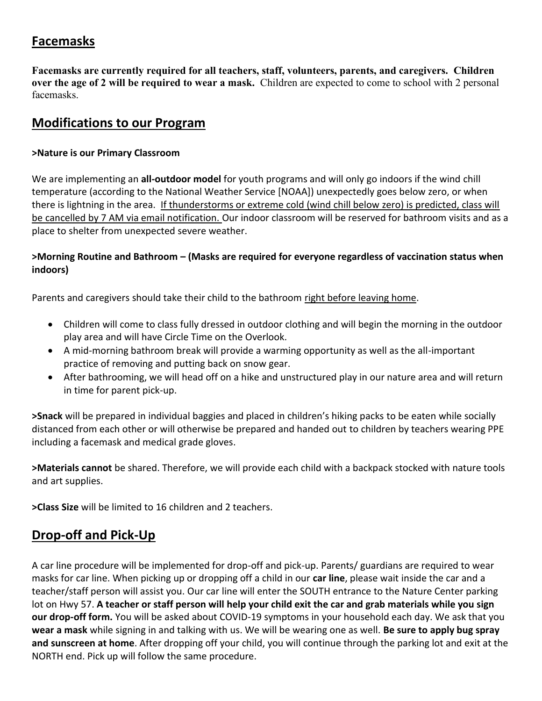## **Facemasks**

**Facemasks are currently required for all teachers, staff, volunteers, parents, and caregivers. Children over the age of 2 will be required to wear a mask.** Children are expected to come to school with 2 personal facemasks.

## **Modifications to our Program**

#### **>Nature is our Primary Classroom**

We are implementing an **all-outdoor model** for youth programs and will only go indoors if the wind chill temperature (according to the National Weather Service [NOAA]) unexpectedly goes below zero, or when there is lightning in the area. If thunderstorms or extreme cold (wind chill below zero) is predicted, class will be cancelled by 7 AM via email notification. Our indoor classroom will be reserved for bathroom visits and as a place to shelter from unexpected severe weather.

#### **>Morning Routine and Bathroom – (Masks are required for everyone regardless of vaccination status when indoors)**

Parents and caregivers should take their child to the bathroom right before leaving home.

- Children will come to class fully dressed in outdoor clothing and will begin the morning in the outdoor play area and will have Circle Time on the Overlook.
- A mid-morning bathroom break will provide a warming opportunity as well as the all-important practice of removing and putting back on snow gear.
- After bathrooming, we will head off on a hike and unstructured play in our nature area and will return in time for parent pick-up.

**>Snack** will be prepared in individual baggies and placed in children's hiking packs to be eaten while socially distanced from each other or will otherwise be prepared and handed out to children by teachers wearing PPE including a facemask and medical grade gloves.

**>Materials cannot** be shared. Therefore, we will provide each child with a backpack stocked with nature tools and art supplies.

**>Class Size** will be limited to 16 children and 2 teachers.

## **Drop-off and Pick-Up**

A car line procedure will be implemented for drop-off and pick-up. Parents/ guardians are required to wear masks for car line. When picking up or dropping off a child in our **car line**, please wait inside the car and a teacher/staff person will assist you. Our car line will enter the SOUTH entrance to the Nature Center parking lot on Hwy 57. **A teacher or staff person will help your child exit the car and grab materials while you sign our drop-off form.** You will be asked about COVID-19 symptoms in your household each day. We ask that you **wear a mask** while signing in and talking with us. We will be wearing one as well. **Be sure to apply bug spray and sunscreen at home**. After dropping off your child, you will continue through the parking lot and exit at the NORTH end. Pick up will follow the same procedure.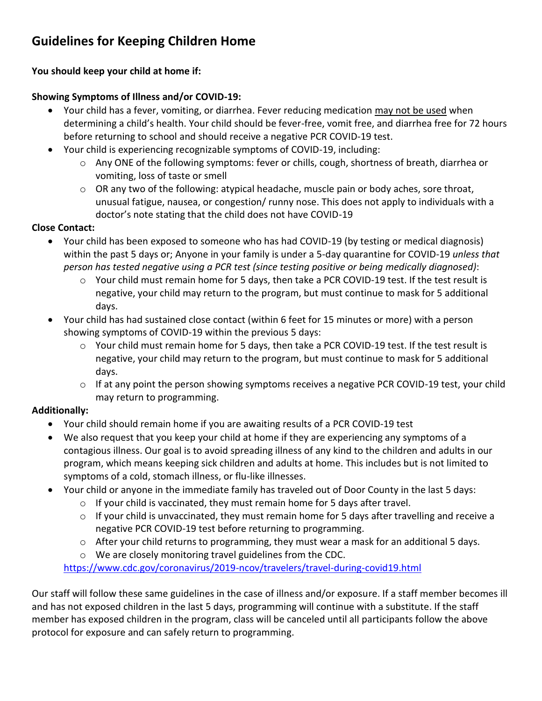# **Guidelines for Keeping Children Home**

### **You should keep your child at home if:**

### **Showing Symptoms of Illness and/or COVID-19:**

- Your child has a fever, vomiting, or diarrhea. Fever reducing medication may not be used when determining a child's health. Your child should be fever-free, vomit free, and diarrhea free for 72 hours before returning to school and should receive a negative PCR COVID-19 test.
- Your child is experiencing recognizable symptoms of COVID-19, including:
	- o Any ONE of the following symptoms: fever or chills, cough, shortness of breath, diarrhea or vomiting, loss of taste or smell
	- $\circ$  OR any two of the following: atypical headache, muscle pain or body aches, sore throat, unusual fatigue, nausea, or congestion/ runny nose. This does not apply to individuals with a doctor's note stating that the child does not have COVID-19

#### **Close Contact:**

- Your child has been exposed to someone who has had COVID-19 (by testing or medical diagnosis) within the past 5 days or; Anyone in your family is under a 5-day quarantine for COVID-19 *unless that person has tested negative using a PCR test (since testing positive or being medically diagnosed)*:
	- $\circ$  Your child must remain home for 5 days, then take a PCR COVID-19 test. If the test result is negative, your child may return to the program, but must continue to mask for 5 additional days.
- Your child has had sustained close contact (within 6 feet for 15 minutes or more) with a person showing symptoms of COVID-19 within the previous 5 days:
	- o Your child must remain home for 5 days, then take a PCR COVID-19 test. If the test result is negative, your child may return to the program, but must continue to mask for 5 additional days.
	- o If at any point the person showing symptoms receives a negative PCR COVID-19 test, your child may return to programming.

### **Additionally:**

- Your child should remain home if you are awaiting results of a PCR COVID-19 test
- We also request that you keep your child at home if they are experiencing any symptoms of a contagious illness. Our goal is to avoid spreading illness of any kind to the children and adults in our program, which means keeping sick children and adults at home. This includes but is not limited to symptoms of a cold, stomach illness, or flu-like illnesses.
- Your child or anyone in the immediate family has traveled out of Door County in the last 5 days:
	- o If your child is vaccinated, they must remain home for 5 days after travel.
	- o If your child is unvaccinated, they must remain home for 5 days after travelling and receive a negative PCR COVID-19 test before returning to programming.
	- $\circ$  After your child returns to programming, they must wear a mask for an additional 5 days.
	- o We are closely monitoring travel guidelines from the CDC.

<https://www.cdc.gov/coronavirus/2019-ncov/travelers/travel-during-covid19.html>

Our staff will follow these same guidelines in the case of illness and/or exposure. If a staff member becomes ill and has not exposed children in the last 5 days, programming will continue with a substitute. If the staff member has exposed children in the program, class will be canceled until all participants follow the above protocol for exposure and can safely return to programming.